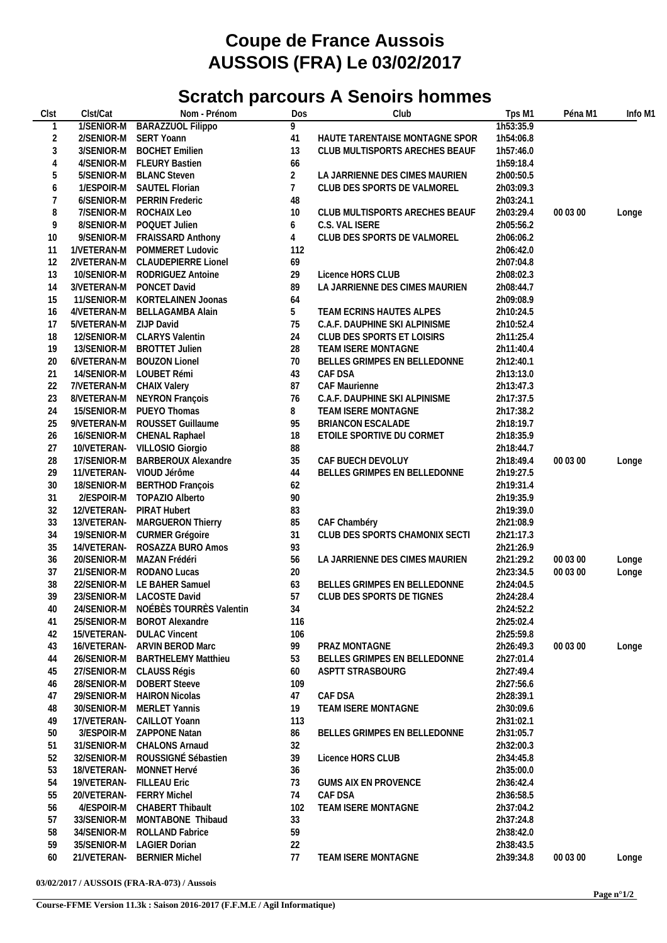## **Coupe de France Aussois AUSSOIS (FRA) Le 03/02/2017**

## **Scratch parcours A Senoirs hommes**

| Clst           | Clst/Cat    | Nom - Prénom                        | Dos            | Club                           | Tps M1    | Péna M1  | Info M1 |
|----------------|-------------|-------------------------------------|----------------|--------------------------------|-----------|----------|---------|
| 1              | 1/SENIOR-M  | <b>BARAZZUOL Filippo</b>            | 9              |                                | 1h53:35.9 |          |         |
| $\overline{2}$ | 2/SENIOR-M  | SERT Yoann                          | 41             | HAUTE TARENTAISE MONTAGNE SPOR | 1h54:06.8 |          |         |
| $\mathfrak{Z}$ | 3/SENIOR-M  | <b>BOCHET Emilien</b>               | 13             | CLUB MULTISPORTS ARECHES BEAUF | 1h57:46.0 |          |         |
| $\overline{4}$ | 4/SENIOR-M  | <b>FLEURY Bastien</b>               | 66             |                                | 1h59:18.4 |          |         |
| 5              | 5/SENIOR-M  | <b>BLANC Steven</b>                 | $\overline{2}$ | LA JARRIENNE DES CIMES MAURIEN | 2h00:50.5 |          |         |
| 6              |             | 1/ESPOIR-M SAUTEL Florian           | $7^{\circ}$    | CLUB DES SPORTS DE VALMOREL    | 2h03:09.3 |          |         |
| 7              | 6/SENIOR-M  | <b>PERRIN Frederic</b>              | 48             |                                | 2h03:24.1 |          |         |
| 8              | 7/SENIOR-M  | ROCHAIX Leo                         | 10             | CLUB MULTISPORTS ARECHES BEAUF | 2h03:29.4 | 00 03 00 |         |
|                |             |                                     |                |                                |           |          | Longe   |
| 9              | 8/SENIOR-M  | POQUET Julien                       | 6              | C.S. VAL ISERE                 | 2h05:56.2 |          |         |
| 10             | 9/SENIOR-M  | <b>FRAISSARD Anthony</b>            | 4              | CLUB DES SPORTS DE VALMOREL    | 2h06:06.2 |          |         |
| 11             | 1/VETERAN-M | POMMERET Ludovic                    | 112            |                                | 2h06:42.0 |          |         |
| 12             | 2/VETERAN-M | <b>CLAUDEPIERRE Lionel</b>          | 69             |                                | 2h07:04.8 |          |         |
| 13             | 10/SENIOR-M | RODRIGUEZ Antoine                   | 29             | Licence HORS CLUB              | 2h08:02.3 |          |         |
| 14             | 3/VETERAN-M | PONCET David                        | 89             | LA JARRIENNE DES CIMES MAURIEN | 2h08:44.7 |          |         |
| 15             | 11/SENIOR-M | KORTELAINEN Joonas                  | 64             |                                | 2h09:08.9 |          |         |
| 16             | 4/VETERAN-M | <b>BELLAGAMBA Alain</b>             | 5              | TEAM ECRINS HAUTES ALPES       | 2h10:24.5 |          |         |
| 17             | 5/VETERAN-M | <b>ZIJP David</b>                   | 75             | C.A.F. DAUPHINE SKI ALPINISME  | 2h10:52.4 |          |         |
| 18             | 12/SENIOR-M | <b>CLARYS Valentin</b>              | 24             | CLUB DES SPORTS ET LOISIRS     | 2h11:25.4 |          |         |
| 19             | 13/SENIOR-M | <b>BROTTET Julien</b>               | 28             | TEAM ISERE MONTAGNE            | 2h11:40.4 |          |         |
| 20             | 6/VETERAN-M | <b>BOUZON Lionel</b>                | 70             | BELLES GRIMPES EN BELLEDONNE   | 2h12:40.1 |          |         |
| 21             |             | 14/SENIOR-M LOUBET Rémi             | 43             | CAF DSA                        | 2h13:13.0 |          |         |
| 22             | 7/VETERAN-M | CHAIX Valery                        | 87             | <b>CAF Maurienne</b>           | 2h13:47.3 |          |         |
| 23             |             | 8/VETERAN-M NEYRON François         | 76             | C.A.F. DAUPHINE SKI ALPINISME  | 2h17:37.5 |          |         |
| 24             |             | 15/SENIOR-M PUEYO Thomas            | 8              | TEAM ISERE MONTAGNE            | 2h17:38.2 |          |         |
| 25             | 9/VETERAN-M | ROUSSET Guillaume                   | 95             | BRIANCON ESCALADE              | 2h18:19.7 |          |         |
| 26             | 16/SENIOR-M | CHENAL Raphael                      | 18             | ETOILE SPORTIVE DU CORMET      | 2h18:35.9 |          |         |
| 27             | 10/VETERAN- | VILLOSIO Giorgio                    | 88             |                                | 2h18:44.7 |          |         |
|                |             | <b>BARBEROUX Alexandre</b>          |                | CAF BUECH DEVOLUY              |           | 00 03 00 |         |
| 28             | 17/SENIOR-M |                                     | 35             |                                | 2h18:49.4 |          | Longe   |
| 29             | 11/VETERAN- | VIOUD Jérôme                        | 44             | BELLES GRIMPES EN BELLEDONNE   | 2h19:27.5 |          |         |
| 30             | 18/SENIOR-M | <b>BERTHOD François</b>             | 62             |                                | 2h19:31.4 |          |         |
| 31             |             | 2/ESPOIR-M TOPAZIO Alberto          | 90             |                                | 2h19:35.9 |          |         |
| 32             | 12/VETERAN- | PIRAT Hubert                        | 83             |                                | 2h19:39.0 |          |         |
| 33             | 13/VETERAN- | MARGUERON Thierry                   | 85             | CAF Chambéry                   | 2h21:08.9 |          |         |
| 34             | 19/SENIOR-M | CURMER Grégoire                     | 31             | CLUB DES SPORTS CHAMONIX SECTI | 2h21:17.3 |          |         |
| 35             | 14/VETERAN- | ROSAZZA BURO Amos                   | 93             |                                | 2h21:26.9 |          |         |
| 36             | 20/SENIOR-M | MAZAN Frédéri                       | 56             | LA JARRIENNE DES CIMES MAURIEN | 2h21:29.2 | 00 03 00 | Longe   |
| 37             |             | 21/SENIOR-M RODANO Lucas            | 20             |                                | 2h23:34.5 | 00 03 00 | Longe   |
| 38             |             | 22/SENIOR-M LE BAHER Samuel         | 63             | BELLES GRIMPES EN BELLEDONNE   | 2h24:04.5 |          |         |
| 39             |             | 23/SENIOR-M LACOSTE David           | 57             | CLUB DES SPORTS DE TIGNES      | 2h24:28.4 |          |         |
| $40\,$         |             | 24/SENIOR-M NOÉBÈS TOURRÈS Valentin | 34             |                                | 2h24:52.2 |          |         |
| 41             | 25/SENIOR-M | <b>BOROT Alexandre</b>              | 116            |                                | 2h25:02.4 |          |         |
| 42             | 15/VETERAN- | <b>DULAC Vincent</b>                | 106            |                                | 2h25:59.8 |          |         |
| 43             | 16/VETERAN- | <b>ARVIN BEROD Marc</b>             | 99             | PRAZ MONTAGNE                  | 2h26:49.3 | 00 03 00 | Longe   |
| 44             | 26/SENIOR-M | <b>BARTHELEMY Matthieu</b>          | 53             | BELLES GRIMPES EN BELLEDONNE   | 2h27:01.4 |          |         |
| 45             | 27/SENIOR-M | CLAUSS Régis                        | 60             | ASPTT STRASBOURG               | 2h27:49.4 |          |         |
| 46             | 28/SENIOR-M | <b>DOBERT Steeve</b>                | 109            |                                | 2h27:56.6 |          |         |
| 47             | 29/SENIOR-M | <b>HAIRON Nicolas</b>               | 47             | CAF DSA                        | 2h28:39.1 |          |         |
| 48             | 30/SENIOR-M | MERLET Yannis                       | 19             | TEAM ISERE MONTAGNE            | 2h30:09.6 |          |         |
| 49             | 17/VETERAN- | CAILLOT Yoann                       | 113            |                                | 2h31:02.1 |          |         |
| 50             |             | 3/ESPOIR-M ZAPPONE Natan            | 86             | BELLES GRIMPES EN BELLEDONNE   | 2h31:05.7 |          |         |
|                | 31/SENIOR-M | <b>CHALONS Arnaud</b>               | 32             |                                | 2h32:00.3 |          |         |
| 51             |             |                                     |                |                                |           |          |         |
| 52             | 32/SENIOR-M | ROUSSIGNÉ Sébastien                 | 39             | Licence HORS CLUB              | 2h34:45.8 |          |         |
| 53             | 18/VETERAN- | MONNET Hervé                        | 36             |                                | 2h35:00.0 |          |         |
| 54             | 19/VETERAN- | <b>FILLEAU Eric</b>                 | 73             | <b>GUMS AIX EN PROVENCE</b>    | 2h36:42.4 |          |         |
| 55             | 20/VETERAN- | <b>FERRY Michel</b>                 | 74             | CAF DSA                        | 2h36:58.5 |          |         |
| 56             | 4/ESPOIR-M  | <b>CHABERT Thibault</b>             | 102            | TEAM ISERE MONTAGNE            | 2h37:04.2 |          |         |
| 57             |             | 33/SENIOR-M MONTABONE Thibaud       | 33             |                                | 2h37:24.8 |          |         |
| 58             | 34/SENIOR-M | <b>ROLLAND Fabrice</b>              | 59             |                                | 2h38:42.0 |          |         |
| 59             | 35/SENIOR-M | <b>LAGIER Dorian</b>                | 22             |                                | 2h38:43.5 |          |         |
| 60             | 21/VETERAN- | <b>BERNIER Michel</b>               | 77             | TEAM ISERE MONTAGNE            | 2h39:34.8 | 00 03 00 | Longe   |
|                |             |                                     |                |                                |           |          |         |

## **03/02/2017 / AUSSOIS (FRA-RA-073) / Aussois**